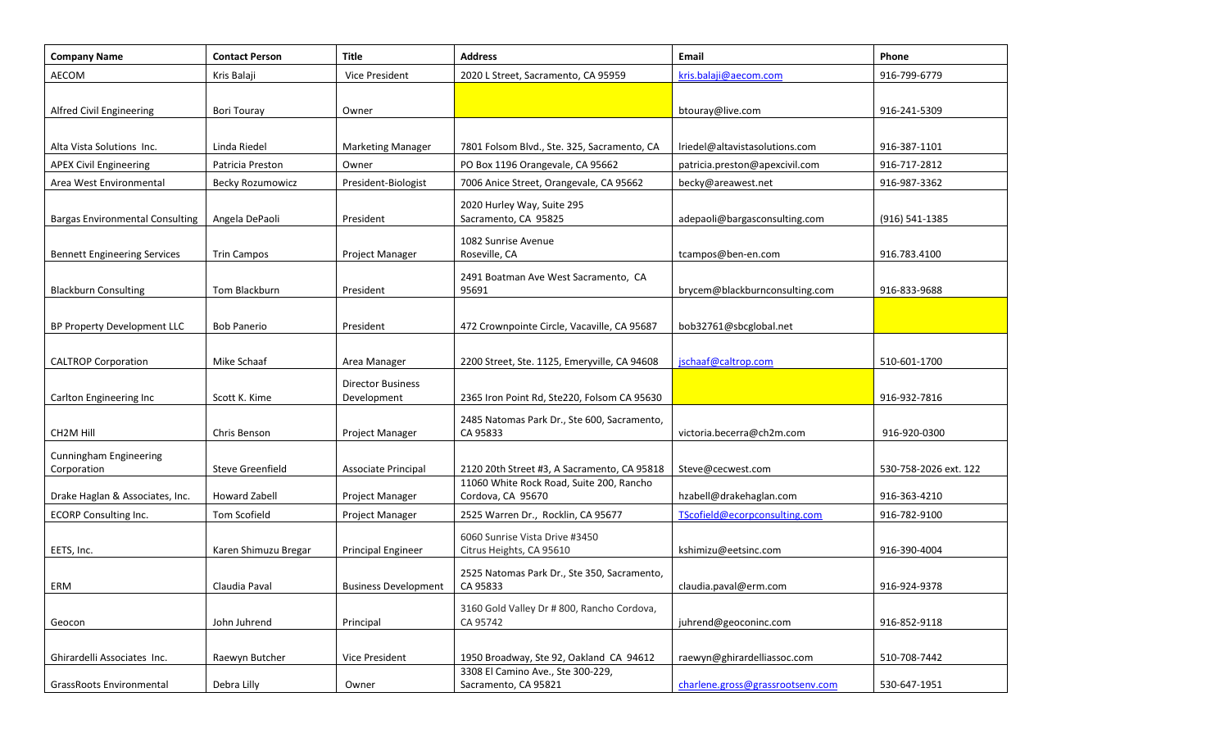| <b>Company Name</b>                          | <b>Contact Person</b>   | Title                                   | <b>Address</b>                                                | Email                            | Phone                 |
|----------------------------------------------|-------------------------|-----------------------------------------|---------------------------------------------------------------|----------------------------------|-----------------------|
| AECOM                                        | Kris Balaji             | Vice President                          | 2020 L Street, Sacramento, CA 95959                           | kris.balaji@aecom.com            | 916-799-6779          |
| Alfred Civil Engineering                     | Bori Touray             | Owner                                   |                                                               | btouray@live.com                 | 916-241-5309          |
| Alta Vista Solutions Inc.                    | Linda Riedel            | <b>Marketing Manager</b>                | 7801 Folsom Blvd., Ste. 325, Sacramento, CA                   | Iriedel@altavistasolutions.com   | 916-387-1101          |
| <b>APEX Civil Engineering</b>                | Patricia Preston        | Owner                                   | PO Box 1196 Orangevale, CA 95662                              | patricia.preston@apexcivil.com   | 916-717-2812          |
| Area West Environmental                      | <b>Becky Rozumowicz</b> | President-Biologist                     | 7006 Anice Street, Orangevale, CA 95662                       | becky@areawest.net               | 916-987-3362          |
| <b>Bargas Environmental Consulting</b>       | Angela DePaoli          | President                               | 2020 Hurley Way, Suite 295<br>Sacramento, CA 95825            | adepaoli@bargasconsulting.com    | (916) 541-1385        |
| <b>Bennett Engineering Services</b>          | <b>Trin Campos</b>      | Project Manager                         | 1082 Sunrise Avenue<br>Roseville, CA                          | tcampos@ben-en.com               | 916.783.4100          |
| <b>Blackburn Consulting</b>                  | Tom Blackburn           | President                               | 2491 Boatman Ave West Sacramento, CA<br>95691                 | brycem@blackburnconsulting.com   | 916-833-9688          |
| BP Property Development LLC                  | <b>Bob Panerio</b>      | President                               | 472 Crownpointe Circle, Vacaville, CA 95687                   | bob32761@sbcglobal.net           |                       |
| <b>CALTROP Corporation</b>                   | Mike Schaaf             | Area Manager                            | 2200 Street, Ste. 1125, Emeryville, CA 94608                  | jschaaf@caltrop.com              | 510-601-1700          |
| Carlton Engineering Inc                      | Scott K. Kime           | <b>Director Business</b><br>Development | 2365 Iron Point Rd, Ste220, Folsom CA 95630                   |                                  | 916-932-7816          |
| CH <sub>2</sub> M Hill                       | Chris Benson            | <b>Project Manager</b>                  | 2485 Natomas Park Dr., Ste 600, Sacramento,<br>CA 95833       | victoria.becerra@ch2m.com        | 916-920-0300          |
| <b>Cunningham Engineering</b><br>Corporation | Steve Greenfield        | Associate Principal                     | 2120 20th Street #3, A Sacramento, CA 95818                   | Steve@cecwest.com                | 530-758-2026 ext. 122 |
| Drake Haglan & Associates, Inc.              | <b>Howard Zabell</b>    | Project Manager                         | 11060 White Rock Road, Suite 200, Rancho<br>Cordova, CA 95670 | hzabell@drakehaglan.com          | 916-363-4210          |
| ECORP Consulting Inc.                        | Tom Scofield            | Project Manager                         | 2525 Warren Dr., Rocklin, CA 95677                            | TScofield@ecorpconsulting.com    | 916-782-9100          |
| EETS, Inc.                                   | Karen Shimuzu Bregar    | <b>Principal Engineer</b>               | 6060 Sunrise Vista Drive #3450<br>Citrus Heights, CA 95610    | kshimizu@eetsinc.com             | 916-390-4004          |
| ERM                                          | Claudia Paval           | <b>Business Development</b>             | 2525 Natomas Park Dr., Ste 350, Sacramento,<br>CA 95833       | claudia.paval@erm.com            | 916-924-9378          |
| Geocon                                       | John Juhrend            | Principal                               | 3160 Gold Valley Dr # 800, Rancho Cordova,<br>CA 95742        | juhrend@geoconinc.com            | 916-852-9118          |
| Ghirardelli Associates Inc.                  | Raewyn Butcher          | Vice President                          | 1950 Broadway, Ste 92, Oakland CA 94612                       | raewyn@ghirardelliassoc.com      | 510-708-7442          |
| <b>GrassRoots Environmental</b>              | Debra Lilly             | Owner                                   | 3308 El Camino Ave., Ste 300-229,<br>Sacramento, CA 95821     | charlene.gross@grassrootsenv.com | 530-647-1951          |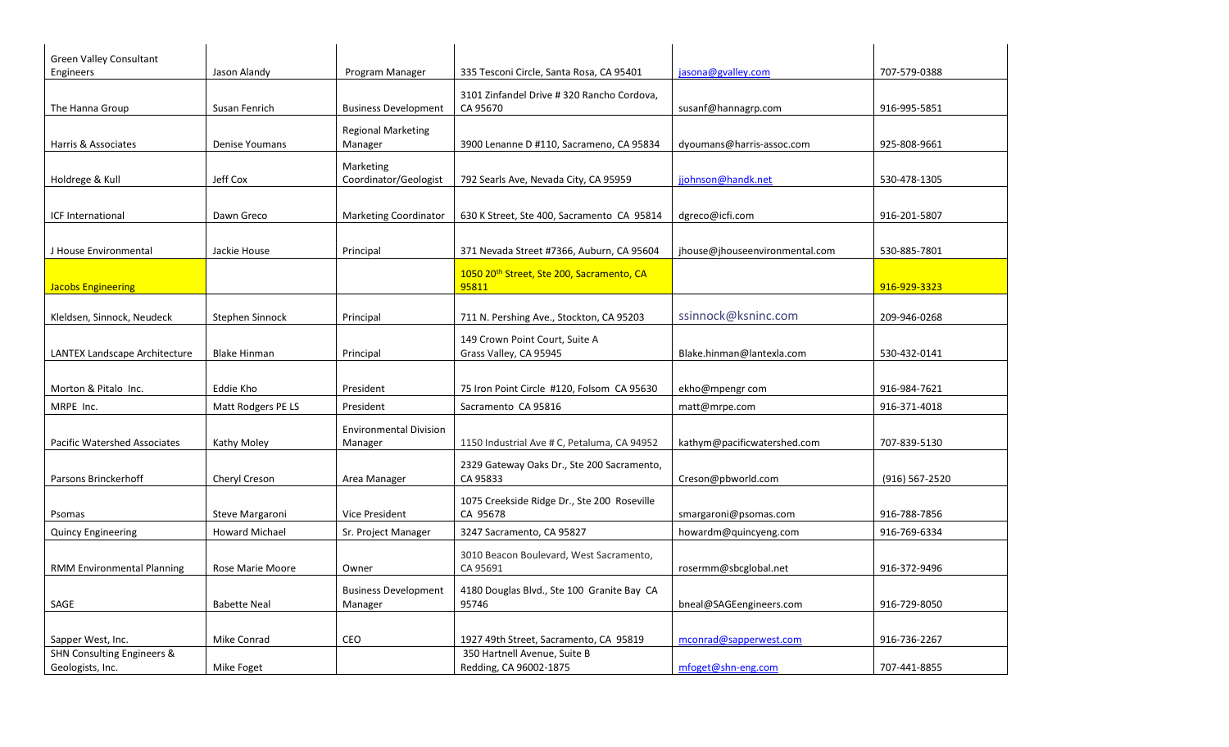| <b>Green Valley Consultant</b>      |                       |                               |                                             |                                |                |
|-------------------------------------|-----------------------|-------------------------------|---------------------------------------------|--------------------------------|----------------|
| Engineers                           | Jason Alandy          | Program Manager               | 335 Tesconi Circle, Santa Rosa, CA 95401    | jasona@gvalley.com             | 707-579-0388   |
|                                     |                       |                               | 3101 Zinfandel Drive # 320 Rancho Cordova,  |                                |                |
| The Hanna Group                     | Susan Fenrich         | <b>Business Development</b>   | CA 95670                                    | susanf@hannagrp.com            | 916-995-5851   |
|                                     |                       | <b>Regional Marketing</b>     |                                             |                                |                |
| Harris & Associates                 | Denise Youmans        | Manager                       | 3900 Lenanne D #110, Sacrameno, CA 95834    | dyoumans@harris-assoc.com      | 925-808-9661   |
|                                     |                       | Marketing                     |                                             |                                |                |
| Holdrege & Kull                     | Jeff Cox              | Coordinator/Geologist         | 792 Searls Ave, Nevada City, CA 95959       | jjohnson@handk.net             | 530-478-1305   |
|                                     |                       |                               |                                             |                                |                |
| ICF International                   | Dawn Greco            | <b>Marketing Coordinator</b>  | 630 K Street, Ste 400, Sacramento CA 95814  | dgreco@icfi.com                | 916-201-5807   |
|                                     |                       |                               |                                             |                                |                |
| J House Environmental               | Jackie House          | Principal                     | 371 Nevada Street #7366, Auburn, CA 95604   | jhouse@jhouseenvironmental.com | 530-885-7801   |
|                                     |                       |                               | 1050 20th Street, Ste 200, Sacramento, CA   |                                |                |
| <b>Jacobs Engineering</b>           |                       |                               | 95811                                       |                                | 916-929-3323   |
|                                     |                       |                               |                                             |                                |                |
| Kleldsen, Sinnock, Neudeck          | Stephen Sinnock       | Principal                     | 711 N. Pershing Ave., Stockton, CA 95203    | ssinnock@ksninc.com            | 209-946-0268   |
|                                     |                       |                               | 149 Crown Point Court, Suite A              |                                |                |
| LANTEX Landscape Architecture       | <b>Blake Hinman</b>   | Principal                     | Grass Valley, CA 95945                      | Blake.hinman@lantexla.com      | 530-432-0141   |
|                                     |                       |                               |                                             |                                |                |
| Morton & Pitalo Inc.                | Eddie Kho             | President                     | 75 Iron Point Circle #120, Folsom CA 95630  | ekho@mpengr com                | 916-984-7621   |
| MRPE Inc.                           | Matt Rodgers PE LS    | President                     | Sacramento CA 95816                         | matt@mrpe.com                  | 916-371-4018   |
|                                     |                       | <b>Environmental Division</b> |                                             |                                |                |
| <b>Pacific Watershed Associates</b> | Kathy Moley           | Manager                       | 1150 Industrial Ave # C, Petaluma, CA 94952 | kathym@pacificwatershed.com    | 707-839-5130   |
|                                     |                       |                               | 2329 Gateway Oaks Dr., Ste 200 Sacramento,  |                                |                |
| Parsons Brinckerhoff                | Cheryl Creson         | Area Manager                  | CA 95833                                    | Creson@pbworld.com             | (916) 567-2520 |
|                                     |                       |                               | 1075 Creekside Ridge Dr., Ste 200 Roseville |                                |                |
| Psomas                              | Steve Margaroni       | <b>Vice President</b>         | CA 95678                                    | smargaroni@psomas.com          | 916-788-7856   |
| <b>Quincy Engineering</b>           | <b>Howard Michael</b> | Sr. Project Manager           | 3247 Sacramento, CA 95827                   | howardm@quincyeng.com          | 916-769-6334   |
|                                     |                       |                               | 3010 Beacon Boulevard, West Sacramento,     |                                |                |
| <b>RMM Environmental Planning</b>   | Rose Marie Moore      | Owner                         | CA 95691                                    | rosermm@sbcglobal.net          | 916-372-9496   |
|                                     |                       | <b>Business Development</b>   | 4180 Douglas Blvd., Ste 100 Granite Bay CA  |                                |                |
| SAGE                                | <b>Babette Neal</b>   | Manager                       | 95746                                       | bneal@SAGEengineers.com        | 916-729-8050   |
|                                     |                       |                               |                                             |                                |                |
| Sapper West, Inc.                   | Mike Conrad           | CEO                           | 1927 49th Street, Sacramento, CA 95819      | mconrad@sapperwest.com         | 916-736-2267   |
| SHN Consulting Engineers &          |                       |                               | 350 Hartnell Avenue, Suite B                |                                |                |
| Geologists, Inc.                    | Mike Foget            |                               | Redding, CA 96002-1875                      | mfoget@shn-eng.com             | 707-441-8855   |